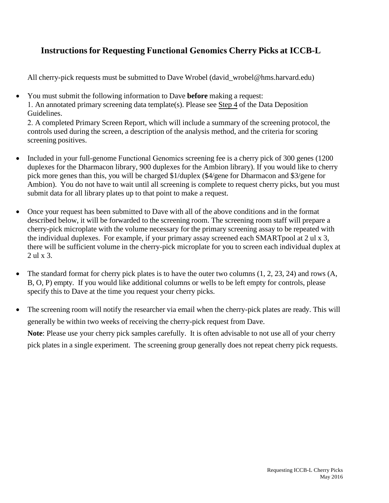## **Instructions for Requesting Functional Genomics Cherry Picks at ICCB-L**

All cherry-pick requests must be submitted to Dave Wrobel (david wrobel@hms.harvard.edu)

• You must submit the following information to Dave **before** making a request: 1. An annotated primary screening data template(s). Please see Step 4 of the Data Deposition Guidelines. 2. A completed Primary Screen Report, which will include a summary of the screening protocol, the controls used during the screen, a description of the analysis method, and the criteria for scoring

screening positives.

- Included in your full-genome Functional Genomics screening fee is a cherry pick of 300 genes (1200) duplexes for the Dharmacon library, 900 duplexes for the Ambion library). If you would like to cherry pick more genes than this, you will be charged \$1/duplex (\$4/gene for Dharmacon and \$3/gene for Ambion). You do not have to wait until all screening is complete to request cherry picks, but you must submit data for all library plates up to that point to make a request.
- Once your request has been submitted to Dave with all of the above conditions and in the format described below, it will be forwarded to the screening room. The screening room staff will prepare a cherry-pick microplate with the volume necessary for the primary screening assay to be repeated with the individual duplexes. For example, if your primary assay screened each SMARTpool at 2 ul x 3, there will be sufficient volume in the cherry-pick microplate for you to screen each individual duplex at 2 ul x 3.
- The standard format for cherry pick plates is to have the outer two columns  $(1, 2, 23, 24)$  and rows  $(A, A)$ B, O, P) empty. If you would like additional columns or wells to be left empty for controls, please specify this to Dave at the time you request your cherry picks.
- The screening room will notify the researcher via email when the cherry-pick plates are ready. This will generally be within two weeks of receiving the cherry-pick request from Dave. **Note**: Please use your cherry pick samples carefully. It is often advisable to not use all of your cherry pick plates in a single experiment. The screening group generally does not repeat cherry pick requests.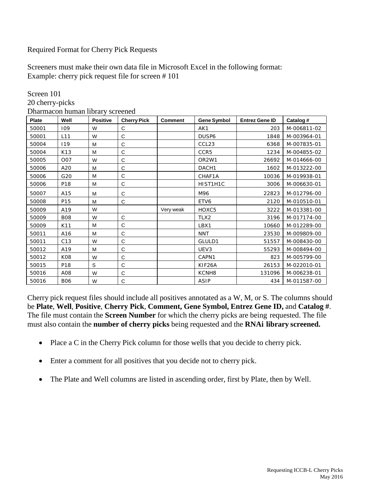## Required Format for Cherry Pick Requests

Screeners must make their own data file in Microsoft Excel in the following format: Example: cherry pick request file for screen # 101

| <b>Plate</b> | Well            | <b>Positive</b> | <b>Cherry Pick</b> | <b>Comment</b> | <b>Gene Symbol</b> | <b>Entrez Gene ID</b> | Catalog #   |
|--------------|-----------------|-----------------|--------------------|----------------|--------------------|-----------------------|-------------|
| 50001        | 109             | W               | С                  |                | AK1                | 203                   | M-006811-02 |
| 50001        | L11             | W               | C                  |                | DUSP6              | 1848                  | M-003964-01 |
| 50004        | 119             | M               | C                  |                | CCL <sub>23</sub>  | 6368                  | M-007835-01 |
| 50004        | K13             | M               | C                  |                | CCR5               | 1234                  | M-004855-02 |
| 50005        | <b>O07</b>      | W               | C                  |                | OR <sub>2</sub> W1 | 26692                 | M-014666-00 |
| 50006        | A20             | M               | C                  |                | DACH1              | 1602                  | M-013222-00 |
| 50006        | G20             | M               | C                  |                | CHAF1A             | 10036                 | M-019938-01 |
| 50006        | P18             | M               | С                  |                | HIST1H1C           | 3006                  | M-006630-01 |
| 50007        | A15             | M               | C                  |                | M96                | 22823                 | M-012796-00 |
| 50008        | P <sub>15</sub> | M               | С                  |                | ETV6               | 2120                  | M-010510-01 |
| 50009        | A19             | W               |                    | Very weak      | HOXC5              | 3222                  | M-013381-00 |
| 50009        | <b>B08</b>      | W               | C                  |                | TLX2               | 3196                  | M-017174-00 |
| 50009        | K11             | M               | С                  |                | LBX1               | 10660                 | M-012289-00 |
| 50011        | A16             | M               | C                  |                | <b>NNT</b>         | 23530                 | M-009809-00 |
| 50011        | C13             | W               | $\mathsf C$        |                | GLULD1             | 51557                 | M-008430-00 |
| 50012        | A19             | M               | C                  |                | UEV3               | 55293                 | M-008494-00 |
| 50012        | K08             | W               | $\mathsf C$        |                | CAPN1              | 823                   | M-005799-00 |
| 50015        | P18             | S               | C                  |                | KIF26A             | 26153                 | M-022010-01 |
| 50016        | A08             | W               | $\mathsf C$        |                | KCNH <sub>8</sub>  | 131096                | M-006238-01 |
| 50016        | <b>B06</b>      | W               | C                  |                | ASIP               | 434                   | M-011587-00 |

Screen 101 20 cherry-picks Dharmacon human library screened

Cherry pick request files should include all positives annotated as a W, M, or S. The columns should be **Plate**, **Well**, **Positive**, **Cherry Pick**, **Comment, Gene Symbol, Entrez Gene ID,** and **Catalog #**. The file must contain the **Screen Number** for which the cherry picks are being requested. The file must also contain the **number of cherry picks** being requested and the **RNAi library screened.**

- Place a C in the Cherry Pick column for those wells that you decide to cherry pick.
- Enter a comment for all positives that you decide not to cherry pick.
- The Plate and Well columns are listed in ascending order, first by Plate, then by Well.